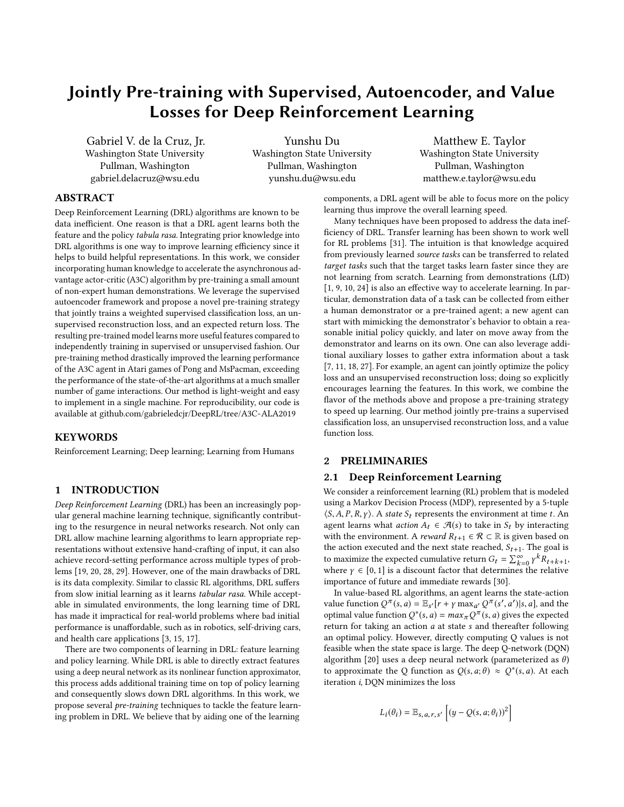# Jointly Pre-training with Supervised, Autoencoder, and Value Losses for Deep Reinforcement Learning

Gabriel V. de la Cruz, Jr. Washington State University Pullman, Washington gabriel.delacruz@wsu.edu

Yunshu Du Washington State University Pullman, Washington yunshu.du@wsu.edu

Matthew E. Taylor Washington State University Pullman, Washington matthew.e.taylor@wsu.edu

# ABSTRACT

Deep Reinforcement Learning (DRL) algorithms are known to be data inefficient. One reason is that a DRL agent learns both the feature and the policy tabula rasa. Integrating prior knowledge into DRL algorithms is one way to improve learning efficiency since it helps to build helpful representations. In this work, we consider incorporating human knowledge to accelerate the asynchronous advantage actor-critic (A3C) algorithm by pre-training a small amount of non-expert human demonstrations. We leverage the supervised autoencoder framework and propose a novel pre-training strategy that jointly trains a weighted supervised classification loss, an unsupervised reconstruction loss, and an expected return loss. The resulting pre-trained model learns more useful features compared to independently training in supervised or unsupervised fashion. Our pre-training method drastically improved the learning performance of the A3C agent in Atari games of Pong and MsPacman, exceeding the performance of the state-of-the-art algorithms at a much smaller number of game interactions. Our method is light-weight and easy to implement in a single machine. For reproducibility, our code is available at<github.com/gabrieledcjr/DeepRL/tree/A3C-ALA2019>

## KEYWORDS

Reinforcement Learning; Deep learning; Learning from Humans

## 1 INTRODUCTION

Deep Reinforcement Learning (DRL) has been an increasingly popular general machine learning technique, significantly contributing to the resurgence in neural networks research. Not only can DRL allow machine learning algorithms to learn appropriate representations without extensive hand-crafting of input, it can also achieve record-setting performance across multiple types of problems [\[19,](#page-7-0) [20,](#page-7-1) [28,](#page-7-2) [29\]](#page-7-3). However, one of the main drawbacks of DRL is its data complexity. Similar to classic RL algorithms, DRL suffers from slow initial learning as it learns tabular rasa. While acceptable in simulated environments, the long learning time of DRL has made it impractical for real-world problems where bad initial performance is unaffordable, such as in robotics, self-driving cars, and health care applications [\[3,](#page-7-4) [15,](#page-7-5) [17\]](#page-7-6).

There are two components of learning in DRL: feature learning and policy learning. While DRL is able to directly extract features using a deep neural network as its nonlinear function approximator, this process adds additional training time on top of policy learning and consequently slows down DRL algorithms. In this work, we propose several pre-training techniques to tackle the feature learning problem in DRL. We believe that by aiding one of the learning

components, a DRL agent will be able to focus more on the policy learning thus improve the overall learning speed.

Many techniques have been proposed to address the data inefficiency of DRL. Transfer learning has been shown to work well for RL problems [\[31\]](#page-7-7). The intuition is that knowledge acquired from previously learned source tasks can be transferred to related target tasks such that the target tasks learn faster since they are not learning from scratch. Learning from demonstrations (LfD) [\[1,](#page-7-8) [9,](#page-7-9) [10,](#page-7-10) [24\]](#page-7-11) is also an effective way to accelerate learning. In particular, demonstration data of a task can be collected from either a human demonstrator or a pre-trained agent; a new agent can start with mimicking the demonstrator's behavior to obtain a reasonable initial policy quickly, and later on move away from the demonstrator and learns on its own. One can also leverage additional auxiliary losses to gather extra information about a task [\[7,](#page-7-12) [11,](#page-7-13) [18,](#page-7-14) [27\]](#page-7-15). For example, an agent can jointly optimize the policy loss and an unsupervised reconstruction loss; doing so explicitly encourages learning the features. In this work, we combine the flavor of the methods above and propose a pre-training strategy to speed up learning. Our method jointly pre-trains a supervised classification loss, an unsupervised reconstruction loss, and a value function loss.

## 2 PRELIMINARIES

## 2.1 Deep Reinforcement Learning

We consider a reinforcement learning (RL) problem that is modeled using a Markov Decision Process (MDP), represented by a 5-tuple  $\langle S, A, P, R, \gamma \rangle$ . A state  $S_t$  represents the environment at time t. An agent learns what *action*  $A_t \in \mathcal{A}(s)$  to take in  $S_t$  by interacting with the environment. A *reward*  $R_{t+1} \in \mathcal{R} \subset \mathbb{R}$  is given based on the action executed and the next state reached,  $S_{t+1}$ . The goal is to maximize the expected cumulative return  $G_t = \sum_{k=0}^{\infty} \gamma^k R_{t+k+1}$ , where  $\gamma \in [0, 1]$  is a discount factor that determines the relative<br>importance of future and immediate rewards [30] importance of future and immediate rewards [\[30\]](#page-7-16).

In value-based RL algorithms, an agent learns the state-action value function  $Q^{\pi}(s, a) = \mathbb{E}_{s'}[r + \gamma \max_{a'} Q^{\pi}(s', a')|s, a]$ , and the expected optimal value function  $Q^*(s, a) = max_{\pi} Q^{\pi}(s, a)$  gives the expected<br>return for taking an action a at state s and thereafter following return for taking an action a at state s and thereafter following an optimal policy. However, directly computing Q values is not feasible when the state space is large. The deep Q-network (DQN) algorithm [\[20\]](#page-7-1) uses a deep neural network (parameterized as  $\theta$ ) to approximate the Q function as  $Q(s, a; \theta) \approx Q^*(s, a)$ . At each iteration *i* DON minimizes the loss iteration i, DQN minimizes the loss

$$
L_i(\theta_i) = \mathbb{E}_{s,a,r,s'} \left[ (y - Q(s,a;\theta_i))^2 \right]
$$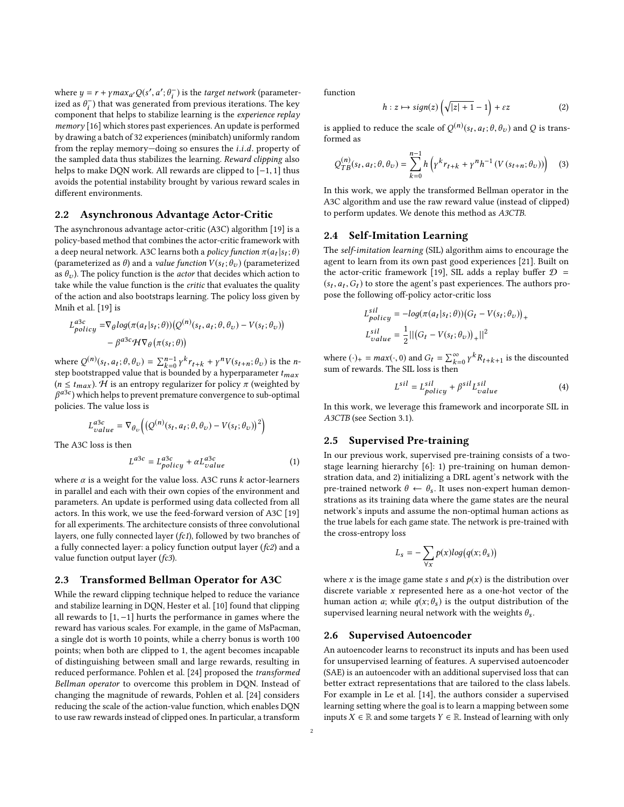where  $y = r + \gamma max_{a'} Q(s', a'; \theta_{\text{r}}^-)$  is the *target network* (parameter-<br>ized as  $\theta^{-}$ ) that was generated from previous iterations. The key ized as  $\theta_i^-$ ) that was generated from previous iterations. The key<br>component that helps to stabilize learning is the *experience replay* component that helps to stabilize learning is the experience replay memory [\[16\]](#page-7-17) which stores past experiences. An update is performed by drawing a batch of 32 experiences (minibatch) uniformly random from the replay memory—doing so ensures the i.i.d. property of the sampled data thus stabilizes the learning. Reward clipping also helps to make DQN work. All rewards are clipped to [−1, <sup>1</sup>] thus avoids the potential instability brought by various reward scales in different environments.

## 2.2 Asynchronous Advantage Actor-Critic

The asynchronous advantage actor-critic (A3C) algorithm [\[19\]](#page-7-0) is a policy-based method that combines the actor-critic framework with a deep neural network. A3C learns both a *policy function*  $\pi(a_t|s_t;\theta)$ <br>(parameterized as  $\theta$ ) and a value function  $V(s;\theta)$  (parameterized (parameterized as  $\theta$ ) and a *value function*  $V(s_t; \theta_v)$  (parameterized<br>as  $\theta$ ). The policy function is the *actor* that decides which action to as  $\theta_v$ ). The policy function is the *actor* that decides which action to take while the value function is the critic that evaluates the quality of the action and also bootstraps learning. The policy loss given by Mnih et al. [\[19\]](#page-7-0) is

$$
L_{policy}^{a3c} = \nabla_{\theta} log(\pi(a_t|s_t; \theta)) (Q^{(n)}(s_t, a_t; \theta, \theta_v) - V(s_t; \theta_v))
$$

$$
- \beta^{a3c} \mathcal{H} \nabla_{\theta} (\pi(s_t; \theta))
$$

where  $Q^{(n)}(s_t, a_t; \theta, \theta_v) = \sum_{k=0}^{n-1} \gamma^k r_{t+k} + \gamma^n V(s_{t+n}; \theta_v)$  is the n-<br>step bootstranned value that is bounded by a hyperparameter t step bootstrapped value that is bounded by a hyperparameter  $t_{max}$ <br>( $n \le t$ ) H is an entropy requierant for policy  $\pi$  (weighted by  $(n \leq t_{max})$ . H is an entropy regularizer for policy  $\pi$  (weighted by β policies. The value loss is  $a^{3c}$ ) which helps to prevent premature convergence to sub-optimal

$$
L_{value}^{a3c} = \nabla_{\theta_v} \left( \left( Q^{(n)}(s_t, a_t; \theta, \theta_v) - V(s_t; \theta_v) \right)^2 \right)
$$

The A3C loss is then

$$
L^{a3c} = L^{a3c}_{policy} + \alpha L^{a3c}_{value}
$$
 (1)

where  $\alpha$  is a weight for the value loss. A3C runs  $k$  actor-learners in parallel and each with their own copies of the environment and parameters. An update is performed using data collected from all actors. In this work, we use the feed-forward version of A3C [\[19\]](#page-7-0) for all experiments. The architecture consists of three convolutional layers, one fully connected layer (fc1), followed by two branches of a fully connected layer: a policy function output layer (fc2) and a value function output layer (fc3).

#### 2.3 Transformed Bellman Operator for A3C

While the reward clipping technique helped to reduce the variance and stabilize learning in DQN, Hester et al. [\[10\]](#page-7-10) found that clipping all rewards to [1, <sup>−</sup>1] hurts the performance in games where the reward has various scales. For example, in the game of MsPacman, a single dot is worth 10 points, while a cherry bonus is worth 100 points; when both are clipped to 1, the agent becomes incapable of distinguishing between small and large rewards, resulting in reduced performance. Pohlen et al. [\[24\]](#page-7-11) proposed the transformed Bellman operator to overcome this problem in DQN. Instead of changing the magnitude of rewards, Pohlen et al. [\[24\]](#page-7-11) considers reducing the scale of the action-value function, which enables DQN to use raw rewards instead of clipped ones. In particular, a transform

function

<span id="page-1-2"></span>
$$
h: z \mapsto sign(z) \left( \sqrt{|z| + 1} - 1 \right) + \varepsilon z \tag{2}
$$

is applied to reduce the scale of  $Q^{(n)}(s_t, a_t; \theta, \theta_v)$  and Q is trans-<br>formed as formed as

$$
Q_{TB}^{(n)}(s_t, a_t; \theta, \theta_v) = \sum_{k=0}^{n-1} h \left( \gamma^k r_{t+k} + \gamma^n h^{-1} \left( V(s_{t+n}; \theta_v) \right) \right) \tag{3}
$$

In this work, we apply the transformed Bellman operator in the A3C algorithm and use the raw reward value (instead of clipped) to perform updates. We denote this method as A3CTB.

## <span id="page-1-1"></span>2.4 Self-Imitation Learning

The self-imitation learning (SIL) algorithm aims to encourage the agent to learn from its own past good experiences [\[21\]](#page-7-18). Built on the actor-critic framework [\[19\]](#page-7-0), SIL adds a replay buffer  $D =$  $(s_t, a_t, G_t)$  to store the agent's past experiences. The authors pro-, at pose the following off-policy actor-critic loss

$$
L_{policy}^{sil} = -log(\pi(a_t|s_t; \theta))(G_t - V(s_t; \theta_v))_{+}
$$

$$
L_{value}^{sil} = \frac{1}{2}||(G_t - V(s_t; \theta_v))_{+}||^2
$$

where  $(\cdot)_+ = \max(\cdot, 0)$  and  $G_t = \sum_{k=0}^{\infty} \gamma^k R_{t+k+1}$  is the discounted sum of rewards. The SIL loss is then sum of rewards. The SIL loss is then

$$
L^{sil} = L_{policy}^{sil} + \beta^{sil} L_{value}^{sil}
$$
 (4)

In this work, we leverage this framework and incorporate SIL in A3CTB (see Section [3.1\)](#page-2-0).

## <span id="page-1-0"></span>2.5 Supervised Pre-training

In our previous work, supervised pre-training consists of a twostage learning hierarchy [\[6\]](#page-7-19): 1) pre-training on human demonstration data, and 2) initializing a DRL agent's network with the pre-trained network  $\theta \leftarrow \theta_s$ . It uses non-expert human demonstrations as its training data where the game states are the neural network's inputs and assume the non-optimal human actions as the true labels for each game state. The network is pre-trained with the cross-entropy loss

$$
L_s = -\sum_{\forall x} p(x)log(q(x; \theta_s))
$$

where x is the image game state s and  $p(x)$  is the distribution over discrete variable  $x$  represented here as a one-hot vector of the human action *a*; while  $q(x; \theta_s)$  is the output distribution of the supervised learning neural network with the weights  $\theta_s$ .

#### 2.6 Supervised Autoencoder

An autoencoder learns to reconstruct its inputs and has been used for unsupervised learning of features. A supervised autoencoder (SAE) is an autoencoder with an additional supervised loss that can better extract representations that are tailored to the class labels. For example in Le et al. [\[14\]](#page-7-20), the authors consider a supervised learning setting where the goal is to learn a mapping between some inputs  $X \in \mathbb{R}$  and some targets  $Y \in \mathbb{R}$ . Instead of learning with only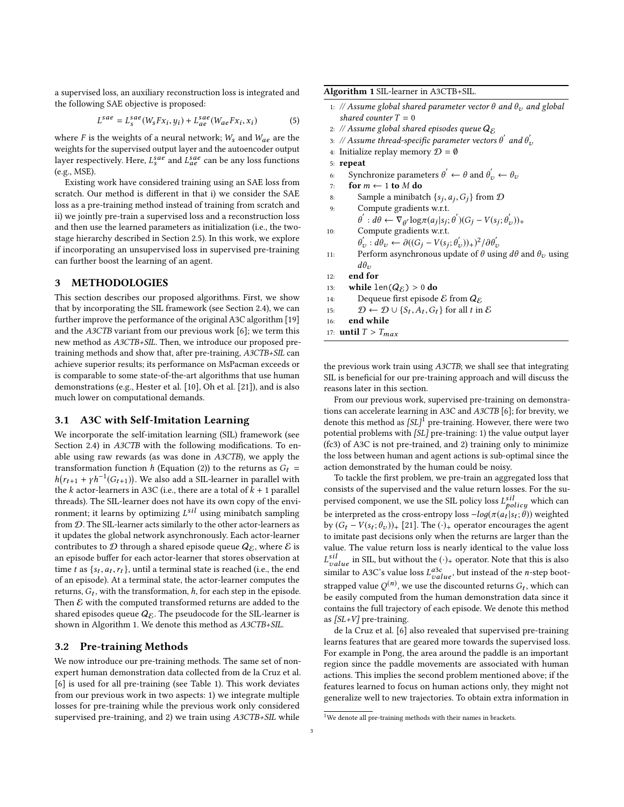a supervised loss, an auxiliary reconstruction loss is integrated and the following SAE objective is proposed:

$$
L^{sae} = L_s^{sae}(W_s F x_i, y_i) + L_{ae}^{sae}(W_{ae} F x_i, x_i)
$$
 (5)

where F is the weights of a neural network;  $W_s$  and  $W_{ae}$  are the weights for the supervised output layer and the autoencoder output layer respectively. Here,  $L_s^{sae}$  and  $L_{ae}^{sae}$  can be any loss functions  $(e \circ MSE)$ (e.g., MSE).

Existing work have considered training using an SAE loss from scratch. Our method is different in that i) we consider the SAE loss as a pre-training method instead of training from scratch and ii) we jointly pre-train a supervised loss and a reconstruction loss and then use the learned parameters as initialization (i.e., the twostage hierarchy described in Section [2.5\)](#page-1-0). In this work, we explore if incorporating an unsupervised loss in supervised pre-training can further boost the learning of an agent.

#### 3 METHODOLOGIES

This section describes our proposed algorithms. First, we show that by incorporating the SIL framework (see Section [2.4\)](#page-1-1), we can further improve the performance of the original A3C algorithm [\[19\]](#page-7-0) and the A3CTB variant from our previous work [\[6\]](#page-7-19); we term this new method as A3CTB+SIL. Then, we introduce our proposed pretraining methods and show that, after pre-training, A3CTB+SIL can achieve superior results; its performance on MsPacman exceeds or is comparable to some state-of-the-art algorithms that use human demonstrations (e.g., Hester et al. [\[10\]](#page-7-10), Oh et al. [\[21\]](#page-7-18)), and is also much lower on computational demands.

### <span id="page-2-0"></span>3.1 A3C with Self-Imitation Learning

We incorporate the self-imitation learning (SIL) framework (see Section [2.4\)](#page-1-1) in *A3CTB* with the following modifications. To enable using raw rewards (as was done in A3CTB), we apply the transformation function h (Equation [\(2\)](#page-1-2)) to the returns as  $G_t$  =  $\frac{1}{100}$  k actor-learners in A3C (i.e., there are a total of  $k + 1$  parallel<br>the k actor-learners in A3C (i.e., there are a total of  $k + 1$  parallel  $(r_{t+1} + \gamma h^{-1}(G_{t+1}))$ . We also add a SIL-learner in parallel with threads). The SIL-learner does not have its own copy of the environment; it learns by optimizing  $L^{sH}$  using minibatch sampling<br>from  $\Omega$  . The SIL degree acts similarly to the other actor learners as from D. The SIL-learner acts similarly to the other actor-learners as it updates the global network asynchronously. Each actor-learner contributes to  $D$  through a shared episode queue  $Q_{\mathcal{E}}$ , where  $\mathcal E$  is an episode buffer for each actor-learner that stores observation at time t as  $\{s_t, a_t, r_t\}$ , until a terminal state is reached (i.e., the end<br>of an episode). At a terminal state, the actor-learner computes the of an episode). At a terminal state, the actor-learner computes the returns,  $G_t$ , with the transformation, h, for each step in the episode.<br>Then  $\mathcal E$  with the computed transformed returns are added to the Then  $\mathcal E$  with the computed transformed returns are added to the shared episodes queue  $Q_{\mathcal{E}}$ . The pseudocode for the SIL-learner is shown in Algorithm [1.](#page-2-1) We denote this method as A3CTB+SIL.

#### 3.2 Pre-training Methods

We now introduce our pre-training methods. The same set of nonexpert human demonstration data collected from de la Cruz et al. [\[6\]](#page-7-19) is used for all pre-training (see Table [1\)](#page-3-0). This work deviates from our previous work in two aspects: 1) we integrate multiple losses for pre-training while the previous work only considered supervised pre-training, and 2) we train using  $A3CTB+SIL$  while

<span id="page-2-1"></span>Algorithm 1 SIL-learner in A3CTB+SIL.

- 1: // Assume global shared parameter vector  $\theta$  and  $\theta_v$  and global shared counter  $T = 0$
- 2: // Assume global shared episodes queue  $Q_{\mathcal{E}}$
- 3: // Assume thread-specific parameter vectors  $\theta'$  and  $\theta'_i$ <br>4. Initialize replay memory  $\mathcal{D} = \theta$
- 4: Initialize replay memory  $\mathcal{D} = \emptyset$
- 5: repeat
- 6: Synchronize parameters  $\theta' \leftarrow \theta$  and  $\theta'_v \leftarrow \theta_v$ <br>7. for  $m \leftarrow 1$  to M do.
- 7: **for**  $m \leftarrow 1$  **to**  $M$  **do**<br>8: Sample a minibate
- 8: Sample a minibatch  $\{s_j, a_j, G_j\}$  from  $\mathcal D$ <br>0. Compute gradients w.r.t.
- 9: Compute gradients w.r.t. 10: Compute gradients w.r.t.  $\vec{d} \cdot \vec{d} \cdot \vec{d} \leftarrow \nabla_{\theta'} \log \pi(a_j|s_j; \theta') (G_j - V(s_j; \theta'_j; \theta'_j))$  $(v'_v))_+$
- $\psi_v^{\prime}: d\theta_v \leftarrow \partial ((G_j V(s_j; \theta_v'))_+)^2 / \partial \theta_v'$
- Perform asynchronous update of θ using  $dθ$  and  $θ<sub>v</sub>$  using  $dθ$
- 12: end for
- 13: **while**  $len(Q_{\mathcal{E}}) > 0$  **do**<br>14: Dequeue first episode
- Dequeue first episode  ${\mathcal E}$  from  $Q_{\mathcal E}$
- 15:  $D \leftarrow D \cup \{S_t, A_t, G_t\}$  for all t in E
- 16: end while
- 17: **until**  $T > T_{max}$

the previous work train using A3CTB; we shall see that integrating SIL is beneficial for our pre-training approach and will discuss the reasons later in this section.

From our previous work, supervised pre-training on demonstrations can accelerate learning in A3C and A3CTB [\[6\]](#page-7-19); for brevity, we denote this method as  $SL<sup>1</sup>$  $SL<sup>1</sup>$  $SL<sup>1</sup>$  pre-training. However, there were two potential problems with [SL] pre-training: 1) the value output layer (fc3) of A3C is not pre-trained, and 2) training only to minimize the loss between human and agent actions is sub-optimal since the action demonstrated by the human could be noisy.

To tackle the first problem, we pre-train an aggregated loss that consists of the supervised and the value return losses. For the supervised component, we use the SIL policy loss  $L_{policy}^{sil}$  which can be interpreted as the cross-entropy loss  $-log(\pi(a_t|s_t;\hat{\theta}))$  weighted<br>by  $(G_t - V(s_t;\theta))$ , [21]. The (c), operator encourages the agent by  $(G_t - V(s_t; \theta_v))_+$  [\[21\]](#page-7-18). The (·)<sub>+</sub> operator encourages the agent<br>to imitate nast decisions only when the returns are larger than the to imitate past decisions only when the returns are larger than the value. The value return loss is nearly identical to the value loss  $L_{value}^{sil}$  in SIL, but without the (·)<sub>+</sub> operator. Note that this is also<br>similar to A3C's value loss  $L^{a3c}$  but instead of the *n*-step boot.  $L^{sil}_{value}$  in SIL, but without the  $(\cdot)_+$  operator. Note that this is also similar to A3C's value loss  $L^{a3c}_{value}$ , but instead of the *n*-step boot-<br>strapped value  $O^{(n)}$ , we use the discounted returns  $G_1$ , which can strapped value  $Q^{(n)}$ , we use the discounted returns  $G_t$ , which can<br>be easily computed from the buman demonstration data since it be easily computed from the human demonstration data since it contains the full trajectory of each episode. We denote this method as [SL+V] pre-training.

de la Cruz et al. [\[6\]](#page-7-19) also revealed that supervised pre-training learns features that are geared more towards the supervised loss. For example in Pong, the area around the paddle is an important region since the paddle movements are associated with human actions. This implies the second problem mentioned above; if the features learned to focus on human actions only, they might not generalize well to new trajectories. To obtain extra information in

<span id="page-2-2"></span> $^{1}$  We denote all pre-training methods with their names in brackets.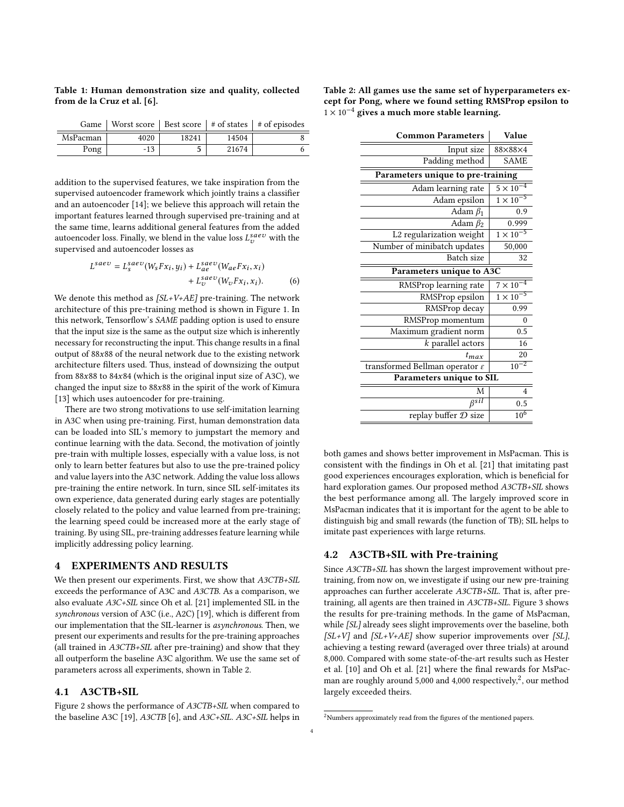<span id="page-3-0"></span>

|  | Table 1: Human demonstration size and quality, collected |  |  |
|--|----------------------------------------------------------|--|--|
|  | from de la Cruz et al. [6].                              |  |  |

|          |       |       |       | Game   Worst score   Best score   $\#$ of states   $\#$ of episodes |
|----------|-------|-------|-------|---------------------------------------------------------------------|
| MsPacman | 4020  | 18241 | 14504 |                                                                     |
| Pong     | $-13$ |       | 21674 |                                                                     |

addition to the supervised features, we take inspiration from the supervised autoencoder framework which jointly trains a classifier and an autoencoder [\[14\]](#page-7-20); we believe this approach will retain the important features learned through supervised pre-training and at the same time, learns additional general features from the added autoencoder loss. Finally, we blend in the value loss  $L_{\nu}^{s a e \nu}$  with the supervised and autoencoder losses as supervised and autoencoder losses as

$$
saev = L_s^{saev}(W_s F x_i, y_i) + L_{ae}^{saev}(W_{ae} F x_i, x_i)
$$

$$
+ L_v^{saev}(W_v F x_i, x_i).
$$
(6)

We denote this method as  $[SL+V+AE]$  pre-training. The network architecture of this pre-training method is shown in Figure [1.](#page-4-0) In this network, Tensorflow's SAME padding option is used to ensure that the input size is the same as the output size which is inherently necessary for reconstructing the input. This change results in a final output of <sup>88</sup>x<sup>88</sup> of the neural network due to the existing network architecture filters used. Thus, instead of downsizing the output from <sup>88</sup>x<sup>88</sup> to <sup>84</sup>x<sup>84</sup> (which is the original input size of A3C), we changed the input size to <sup>88</sup>x<sup>88</sup> in the spirit of the work of Kimura [\[13\]](#page-7-21) which uses autoencoder for pre-training.

There are two strong motivations to use self-imitation learning in A3C when using pre-training. First, human demonstration data can be loaded into SIL's memory to jumpstart the memory and continue learning with the data. Second, the motivation of jointly pre-train with multiple losses, especially with a value loss, is not only to learn better features but also to use the pre-trained policy and value layers into the A3C network. Adding the value loss allows pre-training the entire network. In turn, since SIL self-imitates its own experience, data generated during early stages are potentially closely related to the policy and value learned from pre-training; the learning speed could be increased more at the early stage of training. By using SIL, pre-training addresses feature learning while implicitly addressing policy learning.

## 4 EXPERIMENTS AND RESULTS

We then present our experiments. First, we show that  $A3CTB+SIL$ exceeds the performance of A3C and A3CTB. As a comparison, we also evaluate A3C+SIL since Oh et al. [\[21\]](#page-7-18) implemented SIL in the synchronous version of A3C (i.e., A2C) [\[19\]](#page-7-0), which is different from our implementation that the SIL-learner is asynchronous. Then, we present our experiments and results for the pre-training approaches (all trained in A3CTB+SIL after pre-training) and show that they all outperform the baseline A3C algorithm. We use the same set of parameters across all experiments, shown in Table [2.](#page-3-1)

#### 4.1 A3CTB+SIL

Figure [2](#page-4-1) shows the performance of A3CTB+SIL when compared to the baseline A3C [\[19\]](#page-7-0), A3CTB [\[6\]](#page-7-19), and A3C+SIL. A3C+SIL helps in

<span id="page-3-1"></span>

| Table 2: All games use the same set of hyperparameters ex- |
|------------------------------------------------------------|
| cept for Pong, where we found setting RMSProp epsilon to   |
| $1 \times 10^{-4}$ gives a much more stable learning.      |

<span id="page-3-3"></span>

| <b>Common Parameters</b>                   | Value              |  |  |  |  |
|--------------------------------------------|--------------------|--|--|--|--|
| Input size                                 | 88×88×4            |  |  |  |  |
| Padding method                             | <b>SAME</b>        |  |  |  |  |
| Parameters unique to pre-training          |                    |  |  |  |  |
| Adam learning rate                         | $5 \times 10^{-4}$ |  |  |  |  |
| Adam epsilon                               | $1 \times 10^{-5}$ |  |  |  |  |
| Adam $\beta_1$                             | 0.9                |  |  |  |  |
| Adam $\beta_2$                             | 0.999              |  |  |  |  |
| L2 regularization weight                   | $1 \times 10^{-5}$ |  |  |  |  |
| Number of minibatch updates                | 50,000             |  |  |  |  |
| Batch size                                 | 32                 |  |  |  |  |
| Parameters unique to A3C                   |                    |  |  |  |  |
| RMSProp learning rate                      | $7 \times 10^{-4}$ |  |  |  |  |
| RMSProp epsilon                            | $1 \times 10^{-5}$ |  |  |  |  |
| RMSProp decay                              | 0.99               |  |  |  |  |
| RMSProp momentum                           | $\theta$           |  |  |  |  |
| Maximum gradient norm                      | 0.5                |  |  |  |  |
| $k$ parallel actors                        | 16                 |  |  |  |  |
| $t_{max}$                                  | 20                 |  |  |  |  |
| transformed Bellman operator $\varepsilon$ | $10^{-2}$          |  |  |  |  |
| Parameters unique to SIL                   |                    |  |  |  |  |
| M                                          | $\overline{4}$     |  |  |  |  |
| $\beta$ sil                                | 0.5                |  |  |  |  |
| replay buffer D size                       | $10^{6}$           |  |  |  |  |

both games and shows better improvement in MsPacman. This is consistent with the findings in Oh et al. [\[21\]](#page-7-18) that imitating past good experiences encourages exploration, which is beneficial for hard exploration games. Our proposed method A3CTB+SIL shows the best performance among all. The largely improved score in MsPacman indicates that it is important for the agent to be able to distinguish big and small rewards (the function of TB); SIL helps to imitate past experiences with large returns.

#### <span id="page-3-4"></span>4.2 A3CTB+SIL with Pre-training

Since A3CTB+SIL has shown the largest improvement without pretraining, from now on, we investigate if using our new pre-training approaches can further accelerate A3CTB+SIL. That is, after pretraining, all agents are then trained in A3CTB+SIL. Figure [3](#page-5-0) shows the results for pre-training methods. In the game of MsPacman, while [SL] already sees slight improvements over the baseline, both  $[SL+V]$  and  $[SL+V+AE]$  show superior improvements over [SL], achieving a testing reward (averaged over three trials) at around 8,000. Compared with some state-of-the-art results such as Hester et al. [\[10\]](#page-7-10) and Oh et al. [\[21\]](#page-7-18) where the final rewards for MsPacman are roughly around 5,000 and 4,000 respectively, $^2$  $^2$ , our method largely exceeded theirs.

<span id="page-3-2"></span> $^2$ Numbers approximately read from the figures of the mentioned papers.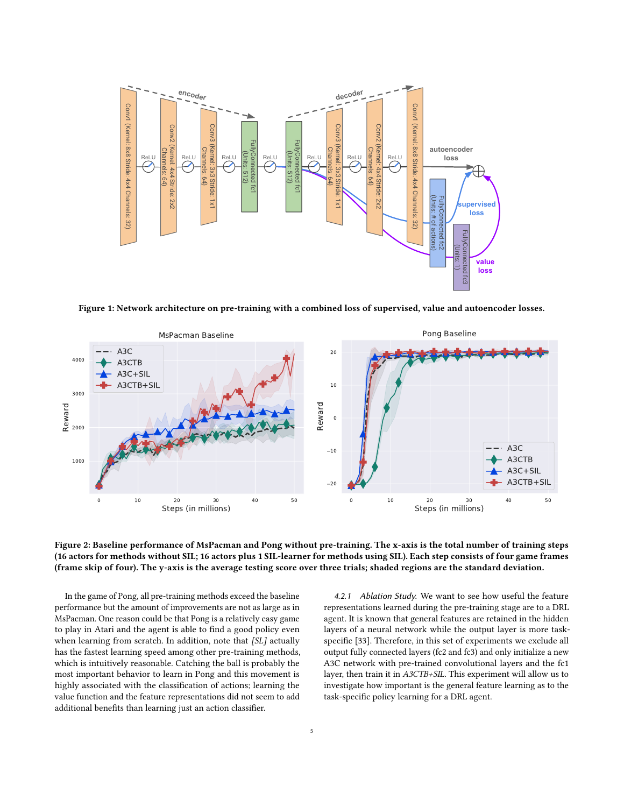<span id="page-4-0"></span>

Figure 1: Network architecture on pre-training with a combined loss of supervised, value and autoencoder losses.

<span id="page-4-1"></span>

### Figure 2: Baseline performance of MsPacman and Pong without pre-training. The x-axis is the total number of training steps (16 actors for methods without SIL; 16 actors plus 1 SIL-learner for methods using SIL). Each step consists of four game frames (frame skip of four). The y-axis is the average testing score over three trials; shaded regions are the standard deviation.

In the game of Pong, all pre-training methods exceed the baseline performance but the amount of improvements are not as large as in MsPacman. One reason could be that Pong is a relatively easy game to play in Atari and the agent is able to find a good policy even when learning from scratch. In addition, note that [SL] actually has the fastest learning speed among other pre-training methods, which is intuitively reasonable. Catching the ball is probably the most important behavior to learn in Pong and this movement is highly associated with the classification of actions; learning the value function and the feature representations did not seem to add additional benefits than learning just an action classifier.

4.2.1 Ablation Study. We want to see how useful the feature representations learned during the pre-training stage are to a DRL agent. It is known that general features are retained in the hidden layers of a neural network while the output layer is more taskspecific [\[33\]](#page-7-22). Therefore, in this set of experiments we exclude all output fully connected layers (fc2 and fc3) and only initialize a new A3C network with pre-trained convolutional layers and the fc1 layer, then train it in A3CTB+SIL. This experiment will allow us to investigate how important is the general feature learning as to the task-specific policy learning for a DRL agent.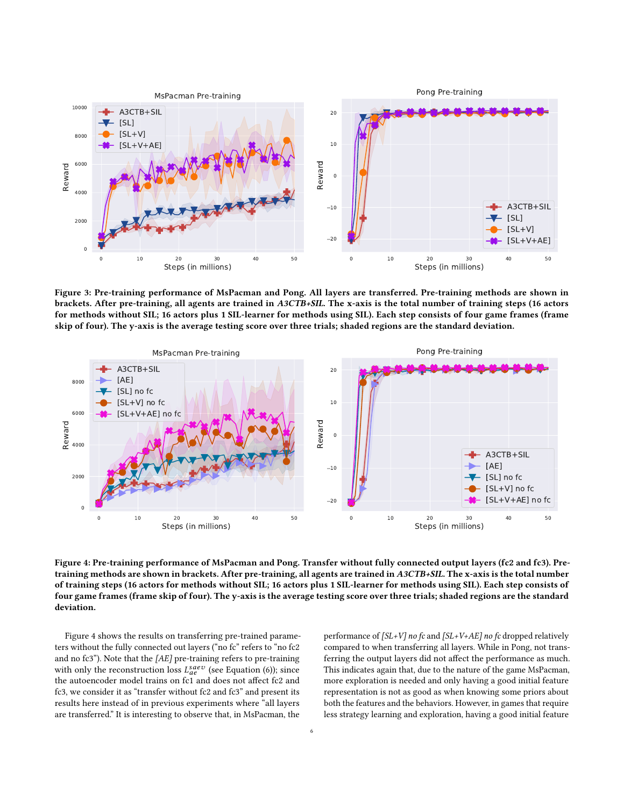<span id="page-5-0"></span>

Figure 3: Pre-training performance of MsPacman and Pong. All layers are transferred. Pre-training methods are shown in brackets. After pre-training, all agents are trained in A3CTB+SIL. The x-axis is the total number of training steps (16 actors for methods without SIL; 16 actors plus 1 SIL-learner for methods using SIL). Each step consists of four game frames (frame skip of four). The y-axis is the average testing score over three trials; shaded regions are the standard deviation.

<span id="page-5-1"></span>

Figure 4: Pre-training performance of MsPacman and Pong. Transfer without fully connected output layers (fc2 and fc3). Pretraining methods are shown in brackets. After pre-training, all agents are trained in A3CTB+SIL. The x-axis is the total number of training steps (16 actors for methods without SIL; 16 actors plus 1 SIL-learner for methods using SIL). Each step consists of four game frames (frame skip of four). The y-axis is the average testing score over three trials; shaded regions are the standard deviation.

Figure [4](#page-5-1) shows the results on transferring pre-trained parameters without the fully connected out layers ("no fc" refers to "no fc2 and no fc3"). Note that the [AE] pre-training refers to pre-training with only the reconstruction loss  $L_{ae}^{saev}$  (see Equation [\(6\)](#page-3-3)); since<br>the autoencoder model trains on fc1 and does not affect fc2 and the autoencoder model trains on fc1 and does not affect fc2 and fc3, we consider it as "transfer without fc2 and fc3" and present its results here instead of in previous experiments where "all layers are transferred." It is interesting to observe that, in MsPacman, the

performance of  $[SL+V]$  no fc and  $[SL+V+AE]$  no fc dropped relatively compared to when transferring all layers. While in Pong, not transferring the output layers did not affect the performance as much. This indicates again that, due to the nature of the game MsPacman, more exploration is needed and only having a good initial feature representation is not as good as when knowing some priors about both the features and the behaviors. However, in games that require less strategy learning and exploration, having a good initial feature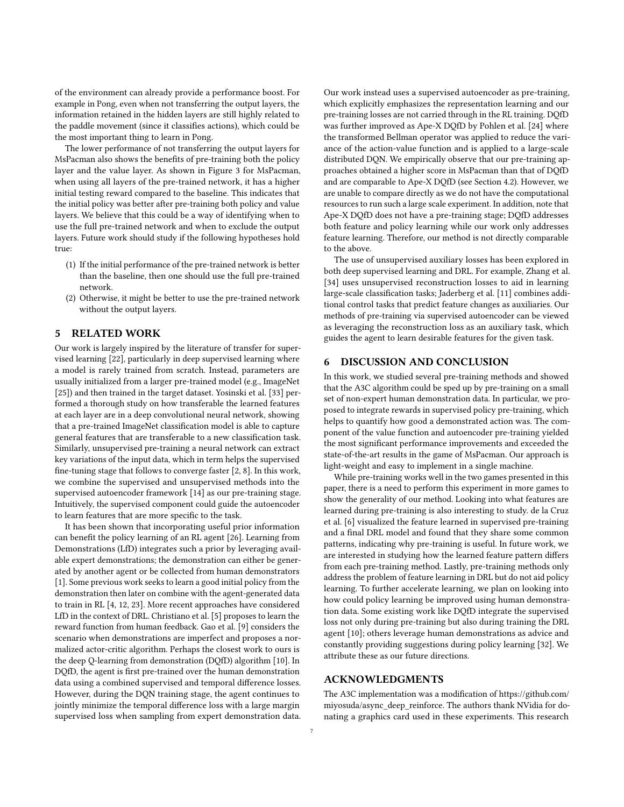of the environment can already provide a performance boost. For example in Pong, even when not transferring the output layers, the information retained in the hidden layers are still highly related to the paddle movement (since it classifies actions), which could be the most important thing to learn in Pong.

The lower performance of not transferring the output layers for MsPacman also shows the benefits of pre-training both the policy layer and the value layer. As shown in Figure [3](#page-5-0) for MsPacman, when using all layers of the pre-trained network, it has a higher initial testing reward compared to the baseline. This indicates that the initial policy was better after pre-training both policy and value layers. We believe that this could be a way of identifying when to use the full pre-trained network and when to exclude the output layers. Future work should study if the following hypotheses hold true:

- (1) If the initial performance of the pre-trained network is better than the baseline, then one should use the full pre-trained network.
- (2) Otherwise, it might be better to use the pre-trained network without the output layers.

# 5 RELATED WORK

Our work is largely inspired by the literature of transfer for supervised learning [\[22\]](#page-7-23), particularly in deep supervised learning where a model is rarely trained from scratch. Instead, parameters are usually initialized from a larger pre-trained model (e.g., ImageNet [\[25\]](#page-7-24)) and then trained in the target dataset. Yosinski et al. [\[33\]](#page-7-22) performed a thorough study on how transferable the learned features at each layer are in a deep convolutional neural network, showing that a pre-trained ImageNet classification model is able to capture general features that are transferable to a new classification task. Similarly, unsupervised pre-training a neural network can extract key variations of the input data, which in term helps the supervised fine-tuning stage that follows to converge faster [\[2,](#page-7-25) [8\]](#page-7-26). In this work, we combine the supervised and unsupervised methods into the supervised autoencoder framework [\[14\]](#page-7-20) as our pre-training stage. Intuitively, the supervised component could guide the autoencoder to learn features that are more specific to the task.

It has been shown that incorporating useful prior information can benefit the policy learning of an RL agent [\[26\]](#page-7-27). Learning from Demonstrations (LfD) integrates such a prior by leveraging available expert demonstrations; the demonstration can either be generated by another agent or be collected from human demonstrators [\[1\]](#page-7-8). Some previous work seeks to learn a good initial policy from the demonstration then later on combine with the agent-generated data to train in RL [\[4,](#page-7-28) [12,](#page-7-29) [23\]](#page-7-30). More recent approaches have considered LfD in the context of DRL. Christiano et al. [\[5\]](#page-7-31) proposes to learn the reward function from human feedback. Gao et al. [\[9\]](#page-7-9) considers the scenario when demonstrations are imperfect and proposes a normalized actor-critic algorithm. Perhaps the closest work to ours is the deep Q-learning from demonstration (DQfD) algorithm [\[10\]](#page-7-10). In DQfD, the agent is first pre-trained over the human demonstration data using a combined supervised and temporal difference losses. However, during the DQN training stage, the agent continues to jointly minimize the temporal difference loss with a large margin supervised loss when sampling from expert demonstration data. Our work instead uses a supervised autoencoder as pre-training, which explicitly emphasizes the representation learning and our pre-training losses are not carried through in the RL training. DQfD was further improved as Ape-X DQfD by Pohlen et al. [\[24\]](#page-7-11) where the transformed Bellman operator was applied to reduce the variance of the action-value function and is applied to a large-scale distributed DQN. We empirically observe that our pre-training approaches obtained a higher score in MsPacman than that of DQfD and are comparable to Ape-X DQfD (see Section [4.2\)](#page-3-4). However, we are unable to compare directly as we do not have the computational resources to run such a large scale experiment. In addition, note that Ape-X DQfD does not have a pre-training stage; DQfD addresses both feature and policy learning while our work only addresses feature learning. Therefore, our method is not directly comparable to the above.

The use of unsupervised auxiliary losses has been explored in both deep supervised learning and DRL. For example, Zhang et al. [\[34\]](#page-7-32) uses unsupervised reconstruction losses to aid in learning large-scale classification tasks; Jaderberg et al. [\[11\]](#page-7-13) combines additional control tasks that predict feature changes as auxiliaries. Our methods of pre-training via supervised autoencoder can be viewed as leveraging the reconstruction loss as an auxiliary task, which guides the agent to learn desirable features for the given task.

# 6 DISCUSSION AND CONCLUSION

In this work, we studied several pre-training methods and showed that the A3C algorithm could be sped up by pre-training on a small set of non-expert human demonstration data. In particular, we proposed to integrate rewards in supervised policy pre-training, which helps to quantify how good a demonstrated action was. The component of the value function and autoencoder pre-training yielded the most significant performance improvements and exceeded the state-of-the-art results in the game of MsPacman. Our approach is light-weight and easy to implement in a single machine.

While pre-training works well in the two games presented in this paper, there is a need to perform this experiment in more games to show the generality of our method. Looking into what features are learned during pre-training is also interesting to study. de la Cruz et al. [\[6\]](#page-7-19) visualized the feature learned in supervised pre-training and a final DRL model and found that they share some common patterns, indicating why pre-training is useful. In future work, we are interested in studying how the learned feature pattern differs from each pre-training method. Lastly, pre-training methods only address the problem of feature learning in DRL but do not aid policy learning. To further accelerate learning, we plan on looking into how could policy learning be improved using human demonstration data. Some existing work like DQfD integrate the supervised loss not only during pre-training but also during training the DRL agent [\[10\]](#page-7-10); others leverage human demonstrations as advice and constantly providing suggestions during policy learning [\[32\]](#page-7-33). We attribute these as our future directions.

# ACKNOWLEDGMENTS

The A3C implementation was a modification of [https://github.com/](https://github.com/miyosuda/async_deep_reinforce) [miyosuda/async\\_deep\\_reinforce.](https://github.com/miyosuda/async_deep_reinforce) The authors thank NVidia for donating a graphics card used in these experiments. This research